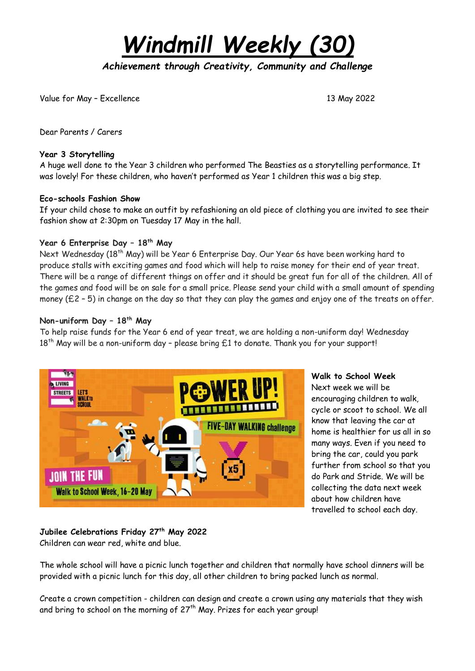*Windmill Weekly (30)*

*Achievement through Creativity, Community and Challenge* 

Value for May – Excellence 13 May 2022

Dear Parents / Carers

### **Year 3 Storytelling**

A huge well done to the Year 3 children who performed The Beasties as a storytelling performance. It was lovely! For these children, who haven't performed as Year 1 children this was a big step.

### **Eco-schools Fashion Show**

If your child chose to make an outfit by refashioning an old piece of clothing you are invited to see their fashion show at 2:30pm on Tuesday 17 May in the hall.

# **Year 6 Enterprise Day – 18th May**

Next Wednesday (18<sup>th</sup> May) will be Year 6 Enterprise Day. Our Year 6s have been working hard to produce stalls with exciting games and food which will help to raise money for their end of year treat. There will be a range of different things on offer and it should be great fun for all of the children. All of the games and food will be on sale for a small price. Please send your child with a small amount of spending money (£2 – 5) in change on the day so that they can play the games and enjoy one of the treats on offer.

### **Non-uniform Day – 18th May**

To help raise funds for the Year 6 end of year treat, we are holding a non-uniform day! Wednesday  $18<sup>th</sup>$  May will be a non-uniform day - please bring £1 to donate. Thank you for your support!



# **Walk to School Week** Next week we will be encouraging children to walk, cycle or scoot to school. We all know that leaving the car at home is healthier for us all in so many ways. Even if you need to bring the car, could you park further from school so that you do Park and Stride. We will be collecting the data next week about how children have travelled to school each day.

# **Jubilee Celebrations Friday 27th May 2022** Children can wear red, white and blue.

The whole school will have a picnic lunch together and children that normally have school dinners will be provided with a picnic lunch for this day, all other children to bring packed lunch as normal.

Create a crown competition - children can design and create a crown using any materials that they wish and bring to school on the morning of  $27<sup>th</sup>$  May. Prizes for each year group!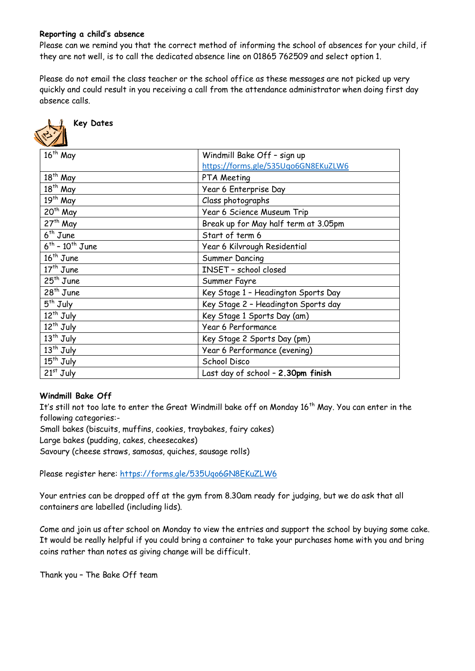# **Reporting a child's absence**

Please can we remind you that the correct method of informing the school of absences for your child, if they are not well, is to call the dedicated absence line on 01865 762509 and select option 1.

Please do not email the class teacher or the school office as these messages are not picked up very quickly and could result in you receiving a call from the attendance administrator when doing first day absence calls.



# **Key Dates**

| $\sqrt{2}$                |                                      |
|---------------------------|--------------------------------------|
| $16th$ May                | Windmill Bake Off - sign up          |
|                           | https://forms.gle/535Uqo6GN8EKuZLW6  |
| 18 <sup>th</sup> May      | PTA Meeting                          |
| $18th$ May                | Year 6 Enterprise Day                |
| $19th$ May                | Class photographs                    |
| 20 <sup>th</sup> May      | Year 6 Science Museum Trip           |
| $27th$ May                | Break up for May half term at 3.05pm |
| $6th$ June                | Start of term 6                      |
| $6^{th}$ - $10^{th}$ June | Year 6 Kilvrough Residential         |
| $16th$ June               | Summer Dancing                       |
| $17th$ June               | INSET - school closed                |
| $25th$ June               | Summer Fayre                         |
| 28 <sup>th</sup> June     | Key Stage 1 - Headington Sports Day  |
| $5th$ July                | Key Stage 2 - Headington Sports day  |
| 12 <sup>th</sup> July     | Key Stage 1 Sports Day (am)          |
| $12th$ July               | Year 6 Performance                   |
| $13th$ July               | Key Stage 2 Sports Day (pm)          |
| $13th$ July               | Year 6 Performance (evening)         |
| 15 <sup>th</sup> July     | School Disco                         |
| $21st$ July               | Last day of school - 2.30pm finish   |
|                           |                                      |

# **Windmill Bake Off**

It's still not too late to enter the Great Windmill bake off on Monday 16<sup>th</sup> May. You can enter in the following categories:-

Small bakes (biscuits, muffins, cookies, traybakes, fairy cakes)

Large bakes (pudding, cakes, cheesecakes)

Savoury (cheese straws, samosas, quiches, sausage rolls)

Please register here: <https://forms.gle/535Uqo6GN8EKuZLW6>

Your entries can be dropped off at the gym from 8.30am ready for judging, but we do ask that all containers are labelled (including lids).

Come and join us after school on Monday to view the entries and support the school by buying some cake. It would be really helpful if you could bring a container to take your purchases home with you and bring coins rather than notes as giving change will be difficult.

Thank you – The Bake Off team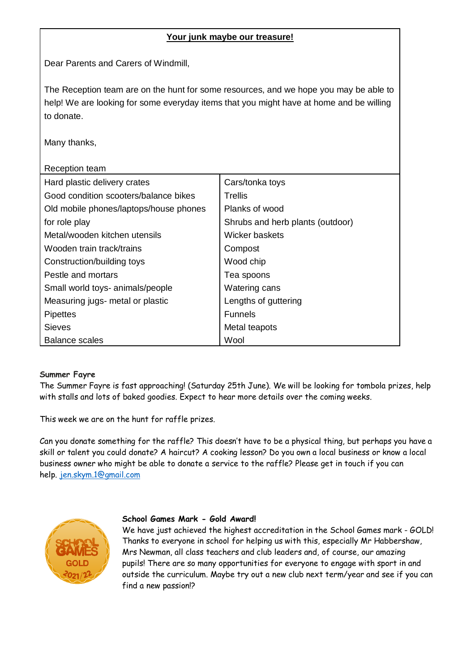# **Your junk maybe our treasure!**

Dear Parents and Carers of Windmill,

The Reception team are on the hunt for some resources, and we hope you may be able to help! We are looking for some everyday items that you might have at home and be willing to donate.

Many thanks,

| Reception team                         |                                  |
|----------------------------------------|----------------------------------|
| Hard plastic delivery crates           | Cars/tonka toys                  |
| Good condition scooters/balance bikes  | Trellis                          |
| Old mobile phones/laptops/house phones | Planks of wood                   |
| for role play                          | Shrubs and herb plants (outdoor) |
| Metal/wooden kitchen utensils          | Wicker baskets                   |
| Wooden train track/trains              | Compost                          |
| Construction/building toys             | Wood chip                        |
| Pestle and mortars                     | Tea spoons                       |
| Small world toys- animals/people       | Watering cans                    |
| Measuring jugs- metal or plastic       | Lengths of guttering             |
| <b>Pipettes</b>                        | <b>Funnels</b>                   |
| <b>Sieves</b>                          | Metal teapots                    |
| Balance scales                         | Wool                             |

# **Summer Fayre**

The Summer Fayre is fast approaching! (Saturday 25th June). We will be looking for tombola prizes, help with stalls and lots of baked goodies. Expect to hear more details over the coming weeks.

This week we are on the hunt for raffle prizes.

Can you donate something for the raffle? This doesn't have to be a physical thing, but perhaps you have a skill or talent you could donate? A haircut? A cooking lesson? Do you own a local business or know a local business owner who might be able to donate a service to the raffle? Please get in touch if you can help. [jen.skym.1@gmail.com](mailto:jen.skym.1@gmail.com)



# **School Games Mark - Gold Award!**

We have just achieved the highest accreditation in the School Games mark - GOLD! Thanks to everyone in school for helping us with this, especially Mr Habbershaw, Mrs Newman, all class teachers and club leaders and, of course, our amazing pupils! There are so many opportunities for everyone to engage with sport in and outside the curriculum. Maybe try out a new club next term/year and see if you can find a new passion!?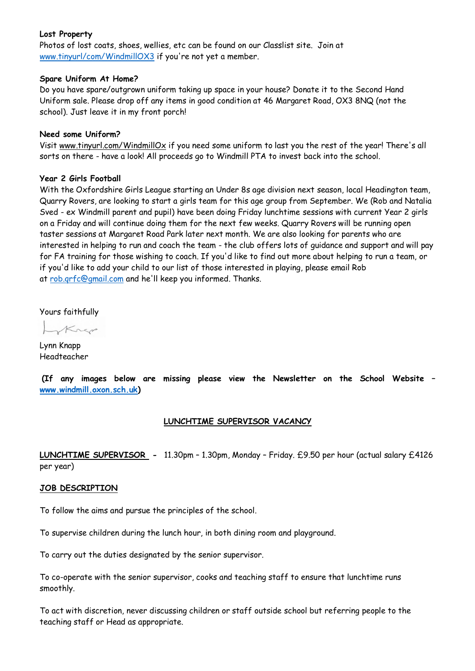### **Lost Property**

Photos of lost coats, shoes, wellies, etc can be found on our Classlist site. Join at [www.tinyurl/com/WindmillOX3](http://www.tinyurl/com/WindmillOX3) if you're not yet a member.

#### **Spare Uniform At Home?**

Do you have spare/outgrown uniform taking up space in your house? Donate it to the Second Hand Uniform sale. Please drop off any items in good condition at 46 Margaret Road, OX3 8NQ (not the school). Just leave it in my front porch!

### **Need some Uniform?**

Visit www[.tinyurl.com/WindmillOx](https://tinyurl.com/WindmillOx) if you need some uniform to last you the rest of the year! There's all sorts on there - have a look! All proceeds go to Windmill PTA to invest back into the school.

# **Year 2 Girls Football**

With the Oxfordshire Girls League starting an Under 8s age division next season, local Headington team, Quarry Rovers, are looking to start a girls team for this age group from September. We (Rob and Natalia Sved - ex Windmill parent and pupil) have been doing Friday lunchtime sessions with current Year 2 girls on a Friday and will continue doing them for the next few weeks. Quarry Rovers will be running open taster sessions at Margaret Road Park later next month. We are also looking for parents who are interested in helping to run and coach the team - the club offers lots of guidance and support and will pay for FA training for those wishing to coach. If you'd like to find out more about helping to run a team, or if you'd like to add your child to our list of those interested in playing, please email Rob at [rob.qrfc@gmail.com](mailto:rob.qrfc@gmail.com) and he'll keep you informed. Thanks.

Yours faithfully

Krep

Lynn Knapp Headteacher

 **(If any images below are missing please view the Newsletter on the School Website – [www.windmill.oxon.sch.uk\)](http://www.windmill.oxon.sch.uk/)**

# **LUNCHTIME SUPERVISOR VACANCY**

**LUNCHTIME SUPERVISOR -** 11.30pm – 1.30pm, Monday – Friday. £9.50 per hour (actual salary £4126 per year)

# **JOB DESCRIPTION**

To follow the aims and pursue the principles of the school.

To supervise children during the lunch hour, in both dining room and playground.

To carry out the duties designated by the senior supervisor.

To co-operate with the senior supervisor, cooks and teaching staff to ensure that lunchtime runs smoothly.

To act with discretion, never discussing children or staff outside school but referring people to the teaching staff or Head as appropriate.